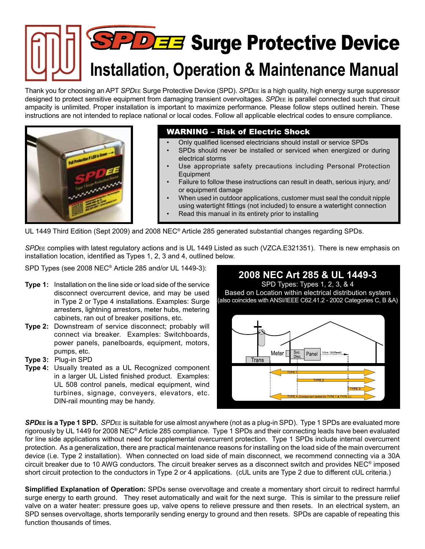# **PDEE** Surge Protective Device **Installation, Operation & Maintenance Manual**

Thank you for choosing an APT *SPD*ee Surge Protective Device (SPD). *SPD*ee is a high quality, high energy surge suppressor designed to protect sensitive equipment from damaging transient overvoltages. *SPD*ee is parallel connected such that circuit ampacity is unlimited. Proper installation is important to maximize performance. Please follow steps outlined herein. These instructions are not intended to replace national or local codes. Follow all applicable electrical codes to ensure compliance.



### WARNING – Risk of Electric Shock

- Only qualified licensed electricians should install or service SPDs
- SPDs should never be installed or serviced when energized or during electrical storms
- Use appropriate safety precautions including Personal Protection Equipment
- Failure to follow these instructions can result in death, serious injury, and/ or equipment damage
- When used in outdoor applications, customer must seal the conduit nipple using watertight fittings (not included) to ensure a watertight connection
- Read this manual in its entirety prior to installing

UL 1449 Third Edition (Sept 2009) and 2008 NEC® Article 285 generated substantial changes regarding SPDs.

*SPD*ee complies with latest regulatory actions and is UL 1449 Listed as such (VZCA.E321351). There is new emphasis on installation location, identified as Types 1, 2, 3 and 4, outlined below.

SPD Types (see 2008 NEC® Article 285 and/or UL 1449-3):

- **Type 1:** Installation on the line side or load side of the service disconnect overcurrent device, and may be used in Type 2 or Type 4 installations. Examples: Surge arresters, lightning arrestors, meter hubs, metering cabinets, ran out of breaker positions, etc.
- **Type 2:** Downstream of service disconnect; probably will connect via breaker. Examples: Switchboards, power panels, panelboards, equipment, motors, pumps, etc.
- **Type 3:** Plug-in SPD
- **Type 4:** Usually treated as a UL Recognized component in a larger UL Listed finished product. Examples: UL 508 control panels, medical equipment, wind turbines, signage, conveyers, elevators, etc. DIN-rail mounting may be handy.



*SPD***ee is a Type 1 SPD.** *SPD*ee is suitable for use almost anywhere (not as a plug-in SPD). Type 1 SPDs are evaluated more rigorously by UL 1449 for 2008 NEC® Article 285 compliance. Type 1 SPDs and their connecting leads have been evaluated for line side applications without need for supplemental overcurrent protection. Type 1 SPDs include internal overcurrent protection. As a generalization, there are practical maintenance reasons for installing on the load side of the main overcurrent device (i.e. Type 2 installation). When connected on load side of main disconnect, we recommend connecting via a 30A circuit breaker due to 10 AWG conductors. The circuit breaker serves as a disconnect switch and provides NEC® imposed short circuit protection to the conductors in Type 2 or 4 applications. (cUL units are Type 2 due to different cUL criteria.)

**Simplified Explanation of Operation:** SPDs sense overvoltage and create a momentary short circuit to redirect harmful surge energy to earth ground. They reset automatically and wait for the next surge. This is similar to the pressure relief valve on a water heater: pressure goes up, valve opens to relieve pressure and then resets. In an electrical system, an SPD senses overvoltage, shorts temporarily sending energy to ground and then resets. SPDs are capable of repeating this function thousands of times.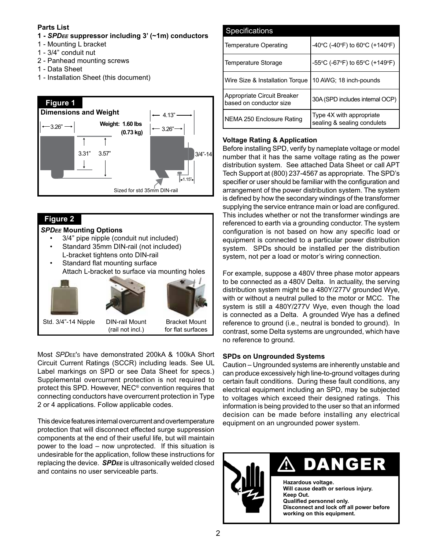### **Parts List**

### **1 -** *SPDee* **suppressor including 3' (~1m) conductors**

- 1 Mounting L bracket
- 1 3/4" conduit nut
- 2 Panhead mounting screws
- 1 Data Sheet
- 1 Installation Sheet (this document)



### **Figure 2**

### *SPDee* **Mounting Options**

- 3/4" pipe nipple (conduit nut included)
- Standard 35mm DIN-rail (not included)
- L-bracket tightens onto DIN-rail Standard flat mounting surface
- Attach L-bracket to surface via mounting holes



Most *SPD*ee's have demonstrated 200kA & 100kA Short Circuit Current Ratings (SCCR) including leads. See UL Label markings on SPD or see Data Sheet for specs.) Supplemental overcurrent protection is not required to protect this SPD. However, NEC® convention requires that connecting conductors have overcurrent protection in Type 2 or 4 applications. Follow applicable codes.

This device features internal overcurrent and overtemperature protection that will disconnect effected surge suppression components at the end of their useful life, but will maintain power to the load – now unprotected. If this situation is undesirable for the application, follow these instructions for replacing the device. *SPDee* is ultrasonically welded closed and contains no user serviceable parts.

| <b>Specifications</b>                                  |                                                         |
|--------------------------------------------------------|---------------------------------------------------------|
| <b>Temperature Operating</b>                           | -40°C (-40°F) to 60°C (+140°F)                          |
| <b>Temperature Storage</b>                             | -55°C (-67°F) to 65°C (+149°F)                          |
| Wire Size & Installation Torque                        | 10 AWG; 18 inch-pounds                                  |
| Appropriate Circuit Breaker<br>based on conductor size | 30A (SPD includes internal OCP)                         |
| NEMA 250 Enclosure Rating                              | Type 4X with appropriate<br>sealing & sealing condulets |

### **Voltage Rating & Application**

Before installing SPD, verify by nameplate voltage or model number that it has the same voltage rating as the power distribution system. See attached Data Sheet or call APT Tech Support at (800) 237-4567 as appropriate. The SPD's specifier or user should be familiar with the configuration and arrangement of the power distribution system. The system is defined by how the secondary windings of the transformer supplying the service entrance main or load are configured. This includes whether or not the transformer windings are referenced to earth via a grounding conductor. The system configuration is not based on how any specific load or equipment is connected to a particular power distribution system. SPDs should be installed per the distribution system, not per a load or motor's wiring connection.

For example, suppose a 480V three phase motor appears to be connected as a 480V Delta. In actuality, the serving distribution system might be a 480Y/277V grounded Wye, with or without a neutral pulled to the motor or MCC. The system is still a 480Y/277V Wye, even though the load is connected as a Delta. A grounded Wye has a defined reference to ground (i.e., neutral is bonded to ground). In contrast, some Delta systems are ungrounded, which have no reference to ground.

### **SPDs on Ungrounded Systems**

Caution – Ungrounded systems are inherently unstable and can produce excessively high line-to-ground voltages during certain fault conditions. During these fault conditions, any electrical equipment including an SPD, may be subjected to voltages which exceed their designed ratings. This information is being provided to the user so that an informed decision can be made before installing any electrical equipment on an ungrounded power system.



## $\Lambda$  danger

**Hazardous voltage. Will cause death or serious injury. Keep Out. Qualified personnel only. Disconnect and lock off all power before working on this equipment.**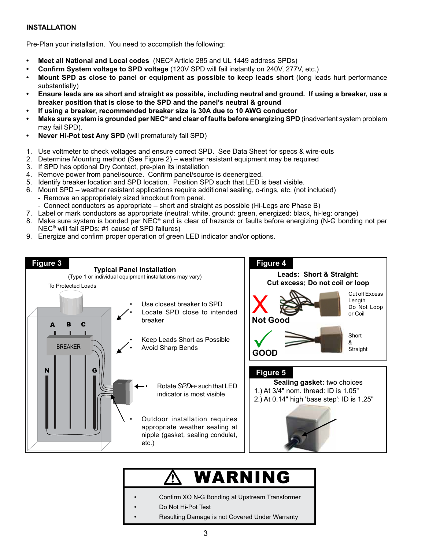### **INSTALLATION**

Pre-Plan your installation. You need to accomplish the following:

- **• Meet all National and Local codes** (NEC® Article 285 and UL 1449 address SPDs)
- **• Confirm System voltage to SPD voltage** (120V SPD will fail instantly on 240V, 277V, etc.)
- **• Mount SPD as close to panel or equipment as possible to keep leads short** (long leads hurt performance substantially)
- **• Ensure leads are as short and straight as possible, including neutral and ground. If using a breaker, use a breaker position that is close to the SPD and the panel's neutral & ground**
- **• If using a breaker, recommended breaker size is 30A due to 10 AWG conductor**
- **• Make sure system is grounded per NEC® and clear of faults before energizing SPD** (inadvertent system problem may fail SPD).
- **• Never Hi-Pot test Any SPD** (will prematurely fail SPD)
- 1. Use voltmeter to check voltages and ensure correct SPD. See Data Sheet for specs & wire-outs
- 2. Determine Mounting method (See Figure 2) weather resistant equipment may be required
- 3. If SPD has optional Dry Contact, pre-plan its installation
- 4. Remove power from panel/source. Confirm panel/source is deenergized.
- 5. Identify breaker location and SPD location. Position SPD such that LED is best visible.
- 6. Mount SPD weather resistant applications require additional sealing, o-rings, etc. (not included)
	- Remove an appropriately sized knockout from panel.
	- Connect conductors as appropriate short and straight as possible (Hi-Legs are Phase B)
- 7. Label or mark conductors as appropriate (neutral: white, ground: green, energized: black, hi-leg: orange)
- 8. Make sure system is bonded per NEC<sup>®</sup> and is clear of hazards or faults before energizing (N-G bonding not per NEC® will fail SPDs: #1 cause of SPD failures)
- 9. Energize and confirm proper operation of green LED indicator and/or options.



### V WARNING

- Confirm XO N-G Bonding at Upstream Transformer
- Do Not Hi-Pot Test
	- Resulting Damage is not Covered Under Warranty